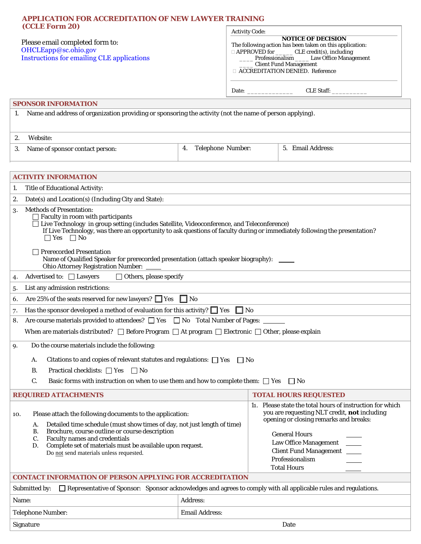| <b>APPLICATION FOR ACCREDITATION OF NEW LAWYER TRAINING</b><br>(CCLE Form 20)<br>Please email completed form to:<br>OHCLEapp@sc.ohio.gov<br><b>Instructions for emailing CLE applications</b>                                                                                                                                                                                                                                                                       | <b>Activity Code:</b>   | <b>NOTICE OF DECISION</b><br>The following action has been taken on this application:<br>□ APPROVED for _______ CLE credit(s), including<br>Professionalism _____ Law Office Management<br><b>Client Fund Management</b><br>□ ACCREDITATION DENIED. Reference<br>CLE Staff:           |
|---------------------------------------------------------------------------------------------------------------------------------------------------------------------------------------------------------------------------------------------------------------------------------------------------------------------------------------------------------------------------------------------------------------------------------------------------------------------|-------------------------|---------------------------------------------------------------------------------------------------------------------------------------------------------------------------------------------------------------------------------------------------------------------------------------|
| <b>SPONSOR INFORMATION</b>                                                                                                                                                                                                                                                                                                                                                                                                                                          |                         |                                                                                                                                                                                                                                                                                       |
| Name and address of organization providing or sponsoring the activity (not the name of person applying).<br>1.                                                                                                                                                                                                                                                                                                                                                      |                         |                                                                                                                                                                                                                                                                                       |
| Website:<br>2.                                                                                                                                                                                                                                                                                                                                                                                                                                                      |                         |                                                                                                                                                                                                                                                                                       |
| Name of sponsor contact person:<br>3.                                                                                                                                                                                                                                                                                                                                                                                                                               | Telephone Number:<br>4. | 5. Email Address:                                                                                                                                                                                                                                                                     |
| <b>ACTIVITY INFORMATION</b>                                                                                                                                                                                                                                                                                                                                                                                                                                         |                         |                                                                                                                                                                                                                                                                                       |
| Title of Educational Activity:<br>1.                                                                                                                                                                                                                                                                                                                                                                                                                                |                         |                                                                                                                                                                                                                                                                                       |
| Date(s) and Location(s) (Including City and State):<br>2.                                                                                                                                                                                                                                                                                                                                                                                                           |                         |                                                                                                                                                                                                                                                                                       |
| <b>Methods of Presentation:</b><br>3.<br>$\Box$ Faculty in room with participants<br>Live Technology in group setting (includes Satellite, Videoconference, and Teleconference)<br>If Live Technology, was there an opportunity to ask questions of faculty during or immediately following the presentation?<br>$\Box$ Yes $\Box$ No<br><b>Prerecorded Presentation</b><br>Name of Qualified Speaker for prerecorded presentation (attach speaker biography): ____ |                         |                                                                                                                                                                                                                                                                                       |
| Ohio Attorney Registration Number: ____                                                                                                                                                                                                                                                                                                                                                                                                                             |                         |                                                                                                                                                                                                                                                                                       |
| Advertised to: □ Lawyers<br>$\Box$ Others, please specify<br>4.                                                                                                                                                                                                                                                                                                                                                                                                     |                         |                                                                                                                                                                                                                                                                                       |
| List any admission restrictions:<br>5.<br>Are 25% of the seats reserved for new lawyers? $\Box$ Yes $\Box$ No<br>6.                                                                                                                                                                                                                                                                                                                                                 |                         |                                                                                                                                                                                                                                                                                       |
| Has the sponsor developed a method of evaluation for this activity? $\Box$ Yes $\Box$ No<br>7.                                                                                                                                                                                                                                                                                                                                                                      |                         |                                                                                                                                                                                                                                                                                       |
| Are course materials provided to attendees? $\Box$ Yes $\Box$ No Total Number of Pages:<br>8                                                                                                                                                                                                                                                                                                                                                                        |                         |                                                                                                                                                                                                                                                                                       |
| When are materials distributed? $\Box$ Before Program $\Box$ At program $\Box$ Electronic $\Box$ Other, please explain                                                                                                                                                                                                                                                                                                                                              |                         |                                                                                                                                                                                                                                                                                       |
| Do the course materials include the following:<br>9.                                                                                                                                                                                                                                                                                                                                                                                                                |                         |                                                                                                                                                                                                                                                                                       |
| Citations to and copies of relevant statutes and regulations: $\Box$ Yes<br>А.<br>$\vert$   No                                                                                                                                                                                                                                                                                                                                                                      |                         |                                                                                                                                                                                                                                                                                       |
| Practical checklists: $\Box$ Yes $\Box$ No<br>B.                                                                                                                                                                                                                                                                                                                                                                                                                    |                         |                                                                                                                                                                                                                                                                                       |
| C.<br>Basic forms with instruction on when to use them and how to complete them: $\square$ Yes<br>    No                                                                                                                                                                                                                                                                                                                                                            |                         |                                                                                                                                                                                                                                                                                       |
| <b>REQUIRED ATTACHMENTS</b>                                                                                                                                                                                                                                                                                                                                                                                                                                         |                         | <b>TOTAL HOURS REQUESTED</b>                                                                                                                                                                                                                                                          |
| Please attach the following documents to the application:<br>10.<br>Detailed time schedule (must show times of day, not just length of time)<br>A.<br>Brochure, course outline or course description<br><b>B.</b><br>Faculty names and credentials<br>C.<br>Complete set of materials must be available upon request.<br>D.<br>Do not send materials unless requested.                                                                                              |                         | 11. Please state the total hours of instruction for which<br>you are requesting NLT credit, not including<br>opening or closing remarks and breaks:<br><b>General Hours</b><br><b>Law Office Management</b><br><b>Client Fund Management</b><br>Professionalism<br><b>Total Hours</b> |
| <b>CONTACT INFORMATION OF PERSON APPLYING FOR ACCREDITATION</b>                                                                                                                                                                                                                                                                                                                                                                                                     |                         |                                                                                                                                                                                                                                                                                       |
| □ Representative of Sponsor: Sponsor acknowledges and agrees to comply with all applicable rules and regulations.<br>Submitted by:                                                                                                                                                                                                                                                                                                                                  |                         |                                                                                                                                                                                                                                                                                       |
| Name:                                                                                                                                                                                                                                                                                                                                                                                                                                                               | Address:                |                                                                                                                                                                                                                                                                                       |
|                                                                                                                                                                                                                                                                                                                                                                                                                                                                     | <b>Email Address:</b>   |                                                                                                                                                                                                                                                                                       |
| <b>Telephone Number:</b>                                                                                                                                                                                                                                                                                                                                                                                                                                            |                         |                                                                                                                                                                                                                                                                                       |